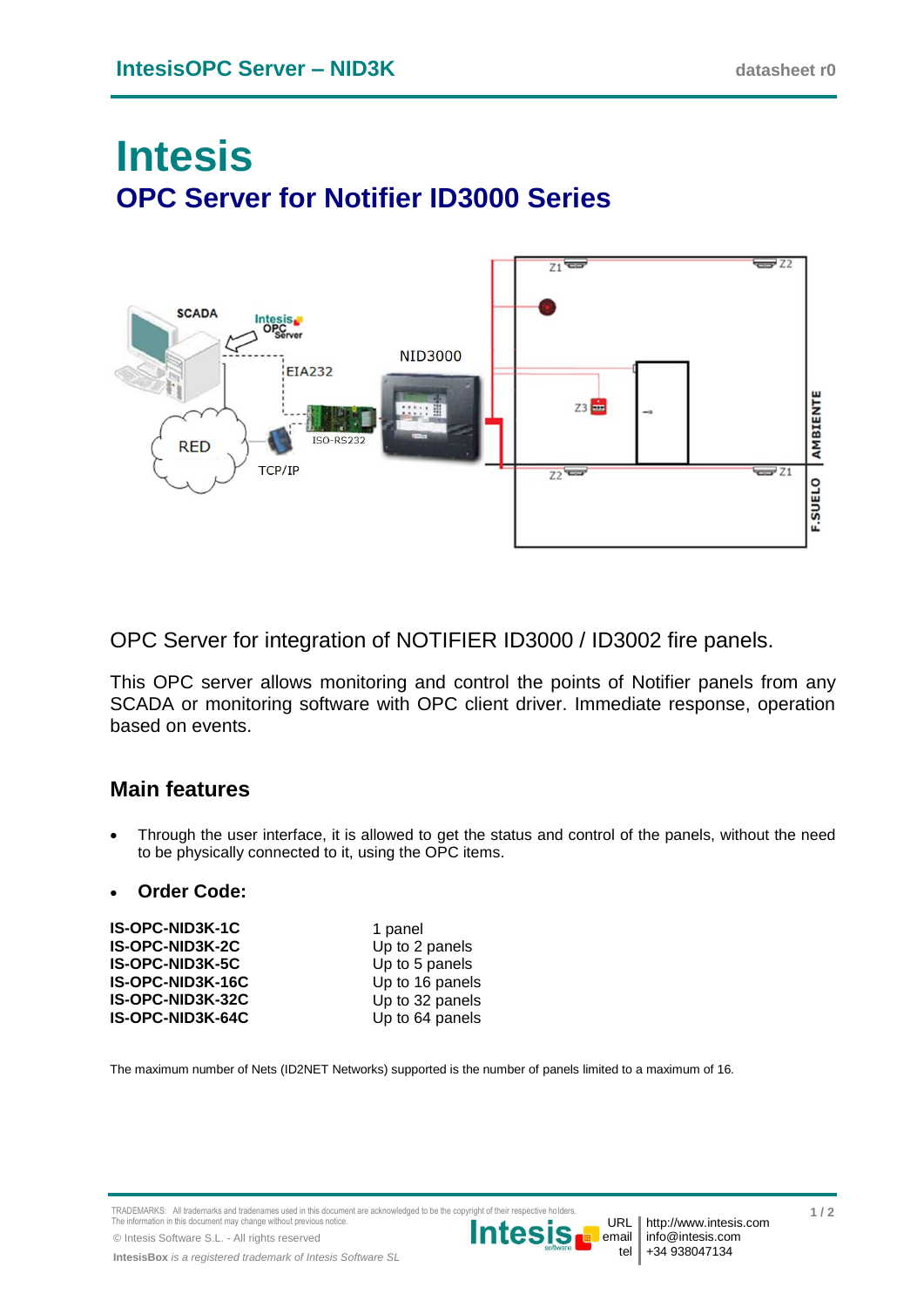# **Intesis OPC Server for Notifier ID3000 Series**



OPC Server for integration of NOTIFIER ID3000 / ID3002 fire panels.

This OPC server allows monitoring and control the points of Notifier panels from any SCADA or monitoring software with OPC client driver. Immediate response, operation based on events.

## **Main features**

 Through the user interface, it is allowed to get the status and control of the panels, without the need to be physically connected to it, using the OPC items.

#### **Order Code:**

| IS-OPC-NID3K-1C  | 1 panel         |
|------------------|-----------------|
| IS-OPC-NID3K-2C  | Up to 2 panels  |
| IS-OPC-NID3K-5C  | Up to 5 panels  |
| IS-OPC-NID3K-16C | Up to 16 panels |
| IS-OPC-NID3K-32C | Up to 32 panels |
| IS-OPC-NID3K-64C | Up to 64 panels |

The maximum number of Nets (ID2NET Networks) supported is the number of panels limited to a maximum of 16.

TRADEMARKS: All trademarks and tradenames used in this document are acknowledged to be the copyright of their respective h The information in this document may change without previous notice.

© Intesis Software S.L. - All rights reserved

**IntesisBox** *is a registered trademark of Intesis Software SL*



tel